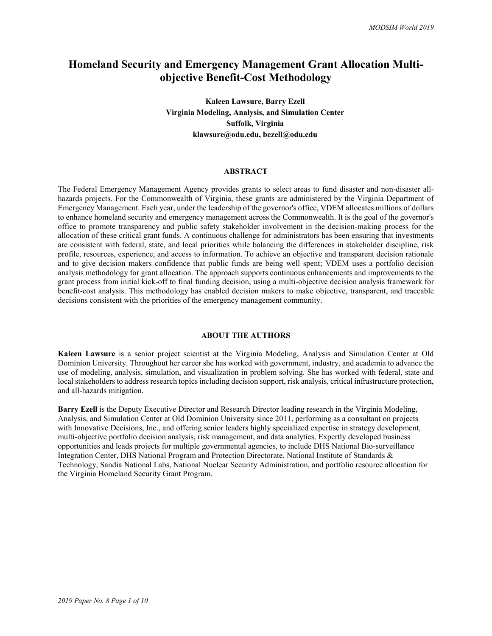# **Homeland Security and Emergency Management Grant Allocation Multiobjective Benefit-Cost Methodology**

**Kaleen Lawsure, Barry Ezell Virginia Modeling, Analysis, and Simulation Center Suffolk, Virginia klawsure@odu.edu, bezell@odu.edu**

#### **ABSTRACT**

The Federal Emergency Management Agency provides grants to select areas to fund disaster and non-disaster allhazards projects. For the Commonwealth of Virginia, these grants are administered by the Virginia Department of Emergency Management. Each year, under the leadership of the governor's office, VDEM allocates millions of dollars to enhance homeland security and emergency management across the Commonwealth. It is the goal of the governor's office to promote transparency and public safety stakeholder involvement in the decision-making process for the allocation of these critical grant funds. A continuous challenge for administrators has been ensuring that investments are consistent with federal, state, and local priorities while balancing the differences in stakeholder discipline, risk profile, resources, experience, and access to information. To achieve an objective and transparent decision rationale and to give decision makers confidence that public funds are being well spent; VDEM uses a portfolio decision analysis methodology for grant allocation. The approach supports continuous enhancements and improvements to the grant process from initial kick-off to final funding decision, using a multi-objective decision analysis framework for benefit-cost analysis. This methodology has enabled decision makers to make objective, transparent, and traceable decisions consistent with the priorities of the emergency management community.

#### **ABOUT THE AUTHORS**

**Kaleen Lawsure** is a senior project scientist at the Virginia Modeling, Analysis and Simulation Center at Old Dominion University. Throughout her career she has worked with government, industry, and academia to advance the use of modeling, analysis, simulation, and visualization in problem solving. She has worked with federal, state and local stakeholders to address research topics including decision support, risk analysis, critical infrastructure protection, and all-hazards mitigation.

**Barry Ezell** is the Deputy Executive Director and Research Director leading research in the Virginia Modeling, Analysis, and Simulation Center at Old Dominion University since 2011, performing as a consultant on projects with Innovative Decisions, Inc., and offering senior leaders highly specialized expertise in strategy development, multi-objective portfolio decision analysis, risk management, and data analytics. Expertly developed business opportunities and leads projects for multiple governmental agencies, to include DHS National Bio-surveillance Integration Center, DHS National Program and Protection Directorate, National Institute of Standards & Technology, Sandia National Labs, National Nuclear Security Administration, and portfolio resource allocation for the Virginia Homeland Security Grant Program.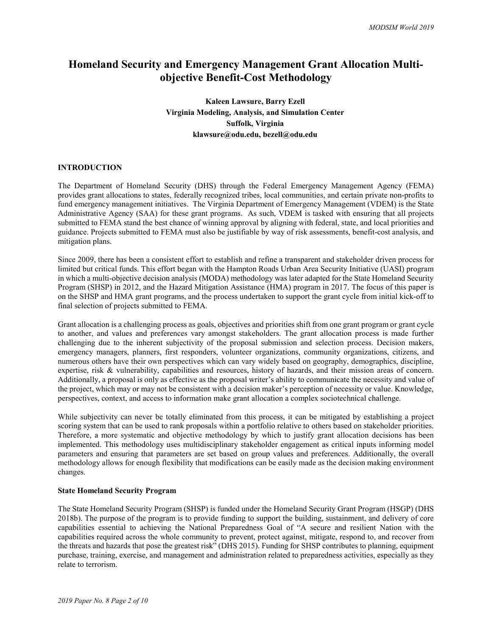# **Homeland Security and Emergency Management Grant Allocation Multiobjective Benefit-Cost Methodology**

## **Kaleen Lawsure, Barry Ezell Virginia Modeling, Analysis, and Simulation Center Suffolk, Virginia klawsure@odu.edu, bezell@odu.edu**

#### **INTRODUCTION**

The Department of Homeland Security (DHS) through the Federal Emergency Management Agency (FEMA) provides grant allocations to states, federally recognized tribes, local communities, and certain private non-profits to fund emergency management initiatives. The Virginia Department of Emergency Management (VDEM) is the State Administrative Agency (SAA) for these grant programs. As such, VDEM is tasked with ensuring that all projects submitted to FEMA stand the best chance of winning approval by aligning with federal, state, and local priorities and guidance. Projects submitted to FEMA must also be justifiable by way of risk assessments, benefit-cost analysis, and mitigation plans.

Since 2009, there has been a consistent effort to establish and refine a transparent and stakeholder driven process for limited but critical funds. This effort began with the Hampton Roads Urban Area Security Initiative (UASI) program in which a multi-objective decision analysis (MODA) methodology was later adapted for the State Homeland Security Program (SHSP) in 2012, and the Hazard Mitigation Assistance (HMA) program in 2017. The focus of this paper is on the SHSP and HMA grant programs, and the process undertaken to support the grant cycle from initial kick-off to final selection of projects submitted to FEMA.

Grant allocation is a challenging process as goals, objectives and priorities shift from one grant program or grant cycle to another, and values and preferences vary amongst stakeholders. The grant allocation process is made further challenging due to the inherent subjectivity of the proposal submission and selection process. Decision makers, emergency managers, planners, first responders, volunteer organizations, community organizations, citizens, and numerous others have their own perspectives which can vary widely based on geography, demographics, discipline, expertise, risk & vulnerability, capabilities and resources, history of hazards, and their mission areas of concern. Additionally, a proposal is only as effective as the proposal writer's ability to communicate the necessity and value of the project, which may or may not be consistent with a decision maker's perception of necessity or value. Knowledge, perspectives, context, and access to information make grant allocation a complex sociotechnical challenge.

While subjectivity can never be totally eliminated from this process, it can be mitigated by establishing a project scoring system that can be used to rank proposals within a portfolio relative to others based on stakeholder priorities. Therefore, a more systematic and objective methodology by which to justify grant allocation decisions has been implemented. This methodology uses multidisciplinary stakeholder engagement as critical inputs informing model parameters and ensuring that parameters are set based on group values and preferences. Additionally, the overall methodology allows for enough flexibility that modifications can be easily made as the decision making environment changes.

## **State Homeland Security Program**

The State Homeland Security Program (SHSP) is funded under the Homeland Security Grant Program (HSGP) (DHS 2018b). The purpose of the program is to provide funding to support the building, sustainment, and delivery of core capabilities essential to achieving the National Preparedness Goal of "A secure and resilient Nation with the capabilities required across the whole community to prevent, protect against, mitigate, respond to, and recover from the threats and hazards that pose the greatest risk" (DHS 2015). Funding for SHSP contributes to planning, equipment purchase, training, exercise, and management and administration related to preparedness activities, especially as they relate to terrorism.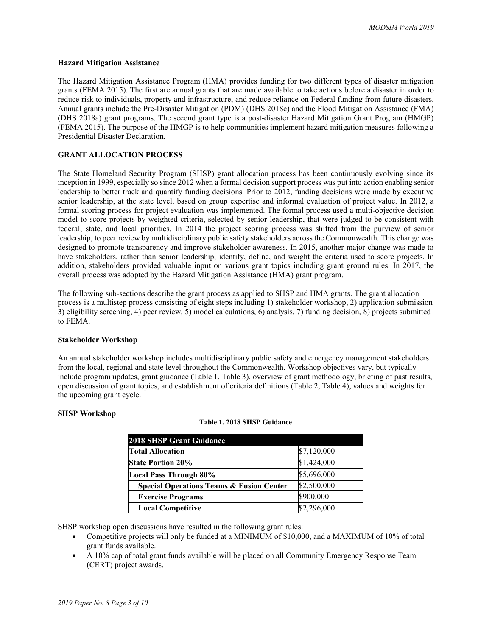#### **Hazard Mitigation Assistance**

The Hazard Mitigation Assistance Program (HMA) provides funding for two different types of disaster mitigation grants (FEMA 2015). The first are annual grants that are made available to take actions before a disaster in order to reduce risk to individuals, property and infrastructure, and reduce reliance on Federal funding from future disasters. Annual grants include the Pre-Disaster Mitigation (PDM) (DHS 2018c) and the Flood Mitigation Assistance (FMA) (DHS 2018a) grant programs. The second grant type is a post-disaster Hazard Mitigation Grant Program (HMGP) (FEMA 2015). The purpose of the HMGP is to help communities implement hazard mitigation measures following a Presidential Disaster Declaration.

## **GRANT ALLOCATION PROCESS**

The State Homeland Security Program (SHSP) grant allocation process has been continuously evolving since its inception in 1999, especially so since 2012 when a formal decision support process was put into action enabling senior leadership to better track and quantify funding decisions. Prior to 2012, funding decisions were made by executive senior leadership, at the state level, based on group expertise and informal evaluation of project value. In 2012, a formal scoring process for project evaluation was implemented. The formal process used a multi-objective decision model to score projects by weighted criteria, selected by senior leadership, that were judged to be consistent with federal, state, and local priorities. In 2014 the project scoring process was shifted from the purview of senior leadership, to peer review by multidisciplinary public safety stakeholders across the Commonwealth. This change was designed to promote transparency and improve stakeholder awareness. In 2015, another major change was made to have stakeholders, rather than senior leadership, identify, define, and weight the criteria used to score projects. In addition, stakeholders provided valuable input on various grant topics including grant ground rules. In 2017, the overall process was adopted by the Hazard Mitigation Assistance (HMA) grant program.

The following sub-sections describe the grant process as applied to SHSP and HMA grants. The grant allocation process is a multistep process consisting of eight steps including 1) stakeholder workshop, 2) application submission 3) eligibility screening, 4) peer review, 5) model calculations, 6) analysis, 7) funding decision, 8) projects submitted to FEMA.

#### **Stakeholder Workshop**

An annual stakeholder workshop includes multidisciplinary public safety and emergency management stakeholders from the local, regional and state level throughout the Commonwealth. Workshop objectives vary, but typically include program updates, grant guidance [\(Table 1,](#page-2-0) [Table 3\)](#page-4-0), overview of grant methodology, briefing of past results, open discussion of grant topics, and establishment of criteria definitions [\(Table 2,](#page-3-0) [Table 4\)](#page-4-1), values and weights for the upcoming grant cycle.

#### <span id="page-2-0"></span>**SHSP Workshop**

#### **Table 1. 2018 SHSP Guidance**

| <b>2018 SHSP Grant Guidance</b>                     |             |
|-----------------------------------------------------|-------------|
| <b>Total Allocation</b>                             | \$7,120,000 |
| <b>State Portion 20%</b>                            | \$1,424,000 |
| <b>Local Pass Through 80%</b>                       | \$5,696,000 |
| <b>Special Operations Teams &amp; Fusion Center</b> | \$2,500,000 |
| <b>Exercise Programs</b>                            | \$900,000   |
| <b>Local Competitive</b>                            | \$2,296,000 |

SHSP workshop open discussions have resulted in the following grant rules:

- Competitive projects will only be funded at a MINIMUM of \$10,000, and a MAXIMUM of 10% of total grant funds available.
- A 10% cap of total grant funds available will be placed on all Community Emergency Response Team (CERT) project awards.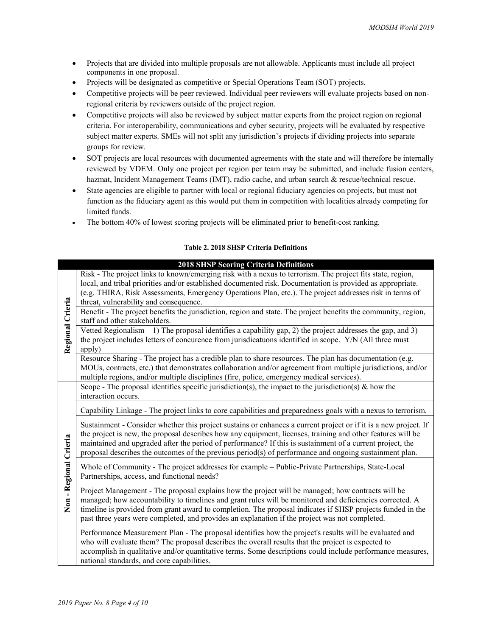- Projects that are divided into multiple proposals are not allowable. Applicants must include all project components in one proposal.
- Projects will be designated as competitive or Special Operations Team (SOT) projects.
- Competitive projects will be peer reviewed. Individual peer reviewers will evaluate projects based on nonregional criteria by reviewers outside of the project region.
- Competitive projects will also be reviewed by subject matter experts from the project region on regional criteria. For interoperability, communications and cyber security, projects will be evaluated by respective subject matter experts. SMEs will not split any jurisdiction's projects if dividing projects into separate groups for review.
- SOT projects are local resources with documented agreements with the state and will therefore be internally reviewed by VDEM. Only one project per region per team may be submitted, and include fusion centers, hazmat, Incident Management Teams (IMT), radio cache, and urban search & rescue/technical rescue.
- State agencies are eligible to partner with local or regional fiduciary agencies on projects, but must not function as the fiduciary agent as this would put them in competition with localities already competing for limited funds.
- The bottom 40% of lowest scoring projects will be eliminated prior to benefit-cost ranking.

## **Table 2. 2018 SHSP Criteria Definitions**

<span id="page-3-0"></span>

|                      | <b>2018 SHSP Scoring Criteria Definitions</b>                                                                                                                                                                                                                                                                                                                                                                                                          |  |  |  |
|----------------------|--------------------------------------------------------------------------------------------------------------------------------------------------------------------------------------------------------------------------------------------------------------------------------------------------------------------------------------------------------------------------------------------------------------------------------------------------------|--|--|--|
|                      | Risk - The project links to known/emerging risk with a nexus to terrorism. The project fits state, region,                                                                                                                                                                                                                                                                                                                                             |  |  |  |
|                      | local, and tribal priorities and/or established documented risk. Documentation is provided as appropriate.                                                                                                                                                                                                                                                                                                                                             |  |  |  |
|                      | (e.g. THIRA, Risk Assessments, Emergency Operations Plan, etc.). The project addresses risk in terms of                                                                                                                                                                                                                                                                                                                                                |  |  |  |
|                      | threat, vulnerability and consequence.                                                                                                                                                                                                                                                                                                                                                                                                                 |  |  |  |
|                      | Benefit - The project benefits the jurisdiction, region and state. The project benefits the community, region,                                                                                                                                                                                                                                                                                                                                         |  |  |  |
|                      | staff and other stakeholders.                                                                                                                                                                                                                                                                                                                                                                                                                          |  |  |  |
|                      | Vetted Regionalism $-1$ ) The proposal identifies a capability gap, 2) the project addresses the gap, and 3)                                                                                                                                                                                                                                                                                                                                           |  |  |  |
|                      | Regional Crieria<br>the project includes letters of concurence from jurisdicatuons identified in scope. Y/N (All three must                                                                                                                                                                                                                                                                                                                            |  |  |  |
|                      | apply)                                                                                                                                                                                                                                                                                                                                                                                                                                                 |  |  |  |
|                      | Resource Sharing - The project has a credible plan to share resources. The plan has documentation (e.g.                                                                                                                                                                                                                                                                                                                                                |  |  |  |
|                      | MOUs, contracts, etc.) that demonstrates collaboration and/or agreement from multiple jurisdictions, and/or                                                                                                                                                                                                                                                                                                                                            |  |  |  |
|                      | multiple regions, and/or multiple disciplines (fire, police, emergency medical services).                                                                                                                                                                                                                                                                                                                                                              |  |  |  |
|                      | Scope - The proposal identifies specific jurisdiction(s), the impact to the jurisdiction(s) & how the                                                                                                                                                                                                                                                                                                                                                  |  |  |  |
|                      | interaction occurs.                                                                                                                                                                                                                                                                                                                                                                                                                                    |  |  |  |
|                      | Capability Linkage - The project links to core capabilities and preparedness goals with a nexus to terrorism.                                                                                                                                                                                                                                                                                                                                          |  |  |  |
|                      | Sustainment - Consider whether this project sustains or enhances a current project or if it is a new project. If<br>the project is new, the proposal describes how any equipment, licenses, training and other features will be<br>maintained and upgraded after the period of performance? If this is sustainment of a current project, the<br>proposal describes the outcomes of the previous period(s) of performance and ongoing sustainment plan. |  |  |  |
|                      | Whole of Community - The project addresses for example – Public-Private Partnerships, State-Local<br>Partnerships, access, and functional needs?                                                                                                                                                                                                                                                                                                       |  |  |  |
| Non-Regional Crieria | Project Management - The proposal explains how the project will be managed; how contracts will be<br>managed; how accountability to timelines and grant rules will be monitored and deficiencies corrected. A<br>timeline is provided from grant award to completion. The proposal indicates if SHSP projects funded in the<br>past three years were completed, and provides an explanation if the project was not completed.                          |  |  |  |
|                      | Performance Measurement Plan - The proposal identifies how the project's results will be evaluated and<br>who will evaluate them? The proposal describes the overall results that the project is expected to<br>accomplish in qualitative and/or quantitative terms. Some descriptions could include performance measures,<br>national standards, and core capabilities.                                                                               |  |  |  |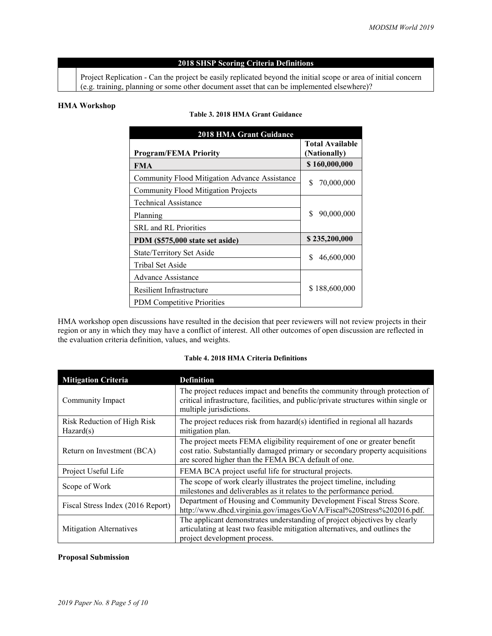## **2018 SHSP Scoring Criteria Definitions**

Project Replication - Can the project be easily replicated beyond the initial scope or area of initial concern (e.g. training, planning or some other document asset that can be implemented elsewhere)?

## <span id="page-4-0"></span>**HMA Workshop**

#### **Table 3. 2018 HMA Grant Guidance**

| <b>2018 HMA Grant Guidance</b>                |                                        |  |
|-----------------------------------------------|----------------------------------------|--|
| <b>Program/FEMA Priority</b>                  | <b>Total Available</b><br>(Nationally) |  |
| <b>FMA</b>                                    | \$160,000,000                          |  |
| Community Flood Mitigation Advance Assistance | \$<br>70,000,000                       |  |
| <b>Community Flood Mitigation Projects</b>    |                                        |  |
| <b>Technical Assistance</b>                   | \$<br>90,000,000                       |  |
| Planning                                      |                                        |  |
| <b>SRL</b> and <b>RL</b> Priorities           |                                        |  |
| PDM (\$575,000 state set aside)               | \$235,200,000                          |  |
| State/Territory Set Aside                     | \$<br>46,600,000                       |  |
| Tribal Set Aside                              |                                        |  |
| Advance Assistance                            | \$188,600,000                          |  |
| <b>Resilient Infrastructure</b>               |                                        |  |
| PDM Competitive Priorities                    |                                        |  |

HMA workshop open discussions have resulted in the decision that peer reviewers will not review projects in their region or any in which they may have a conflict of interest. All other outcomes of open discussion are reflected in the evaluation criteria definition, values, and weights.

## **Table 4. 2018 HMA Criteria Definitions**

<span id="page-4-1"></span>

| <b>Mitigation Criteria</b>                                                                                                                                                                                           | <b>Definition</b>                                                                                                                                                                                               |  |
|----------------------------------------------------------------------------------------------------------------------------------------------------------------------------------------------------------------------|-----------------------------------------------------------------------------------------------------------------------------------------------------------------------------------------------------------------|--|
| Community Impact                                                                                                                                                                                                     | The project reduces impact and benefits the community through protection of<br>critical infrastructure, facilities, and public/private structures within single or<br>multiple jurisdictions.                   |  |
| Risk Reduction of High Risk<br>Hazard(s)                                                                                                                                                                             | The project reduces risk from hazard(s) identified in regional all hazards<br>mitigation plan.                                                                                                                  |  |
| Return on Investment (BCA)                                                                                                                                                                                           | The project meets FEMA eligibility requirement of one or greater benefit<br>cost ratio. Substantially damaged primary or secondary property acquisitions<br>are scored higher than the FEMA BCA default of one. |  |
| Project Useful Life                                                                                                                                                                                                  | FEMA BCA project useful life for structural projects.                                                                                                                                                           |  |
| Scope of Work                                                                                                                                                                                                        | The scope of work clearly illustrates the project timeline, including<br>milestones and deliverables as it relates to the performance period.                                                                   |  |
| Department of Housing and Community Development Fiscal Stress Score.<br>Fiscal Stress Index (2016 Report)<br>http://www.dhcd.virginia.gov/images/GoVA/Fiscal%20Stress%202016.pdf.                                    |                                                                                                                                                                                                                 |  |
| The applicant demonstrates understanding of project objectives by clearly<br>articulating at least two feasible mitigation alternatives, and outlines the<br>Mitigation Alternatives<br>project development process. |                                                                                                                                                                                                                 |  |

## **Proposal Submission**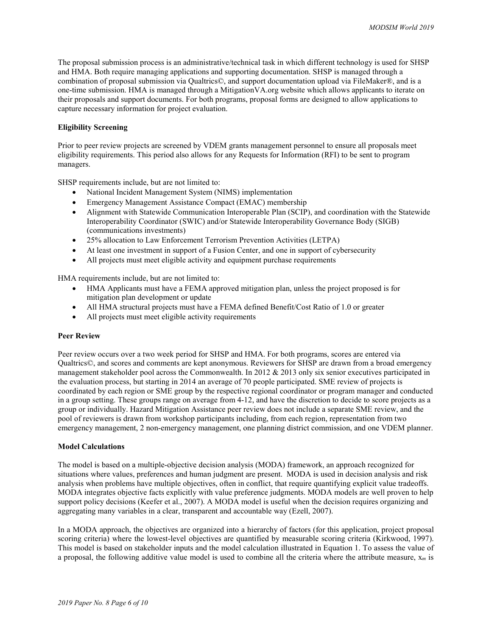The proposal submission process is an administrative/technical task in which different technology is used for SHSP and HMA. Both require managing applications and supporting documentation. SHSP is managed through a combination of proposal submission via Qualtrics©, and support documentation upload via FileMaker®, and is a one-time submission. HMA is managed through a MitigationVA.org website which allows applicants to iterate on their proposals and support documents. For both programs, proposal forms are designed to allow applications to capture necessary information for project evaluation.

#### **Eligibility Screening**

Prior to peer review projects are screened by VDEM grants management personnel to ensure all proposals meet eligibility requirements. This period also allows for any Requests for Information (RFI) to be sent to program managers.

SHSP requirements include, but are not limited to:

- National Incident Management System (NIMS) implementation
- Emergency Management Assistance Compact (EMAC) membership
- Alignment with Statewide Communication Interoperable Plan (SCIP), and coordination with the Statewide Interoperability Coordinator (SWIC) and/or Statewide Interoperability Governance Body (SIGB) (communications investments)
- 25% allocation to Law Enforcement Terrorism Prevention Activities (LETPA)
- At least one investment in support of a Fusion Center, and one in support of cybersecurity
- All projects must meet eligible activity and equipment purchase requirements

HMA requirements include, but are not limited to:

- HMA Applicants must have a FEMA approved mitigation plan, unless the project proposed is for mitigation plan development or update
- All HMA structural projects must have a FEMA defined Benefit/Cost Ratio of 1.0 or greater
- All projects must meet eligible activity requirements

#### **Peer Review**

Peer review occurs over a two week period for SHSP and HMA. For both programs, scores are entered via Qualtrics©, and scores and comments are kept anonymous. Reviewers for SHSP are drawn from a broad emergency management stakeholder pool across the Commonwealth. In 2012 & 2013 only six senior executives participated in the evaluation process, but starting in 2014 an average of 70 people participated. SME review of projects is coordinated by each region or SME group by the respective regional coordinator or program manager and conducted in a group setting. These groups range on average from 4-12, and have the discretion to decide to score projects as a group or individually. Hazard Mitigation Assistance peer review does not include a separate SME review, and the pool of reviewers is drawn from workshop participants including, from each region, representation from two emergency management, 2 non-emergency management, one planning district commission, and one VDEM planner.

#### **Model Calculations**

The model is based on a multiple-objective decision analysis (MODA) framework, an approach recognized for situations where values, preferences and human judgment are present. MODA is used in decision analysis and risk analysis when problems have multiple objectives, often in conflict, that require quantifying explicit value tradeoffs. MODA integrates objective facts explicitly with value preference judgments. MODA models are well proven to help support policy decisions (Keefer et al., 2007). A MODA model is useful when the decision requires organizing and aggregating many variables in a clear, transparent and accountable way (Ezell, 2007).

In a MODA approach, the objectives are organized into a hierarchy of factors (for this application, project proposal scoring criteria) where the lowest-level objectives are quantified by measurable scoring criteria (Kirkwood, 1997). This model is based on stakeholder inputs and the model calculation illustrated i[n Equation 1.](#page-6-0) To assess the value of a proposal, the following additive value model is used to combine all the criteria where the attribute measure, x*<sup>m</sup>* is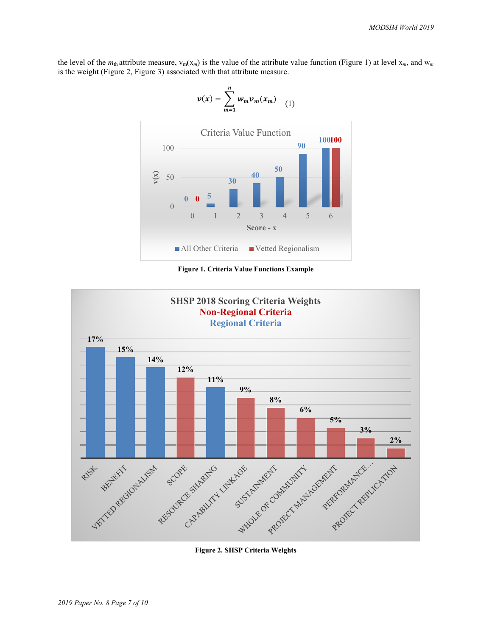<span id="page-6-0"></span>the level of the  $m_{th}$  attribute measure,  $v_m(x_m)$  is the value of the attribute value function [\(Figure 1\)](#page-6-1) at level  $x_m$ , and  $w_m$ is the weight [\(Figure 2,](#page-6-2) [Figure 3\)](#page-7-0) associated with that attribute measure.

 $\frac{n}{2}$ 



<span id="page-6-1"></span>**Figure 1. Criteria Value Functions Example**



<span id="page-6-2"></span>**Figure 2. SHSP Criteria Weights**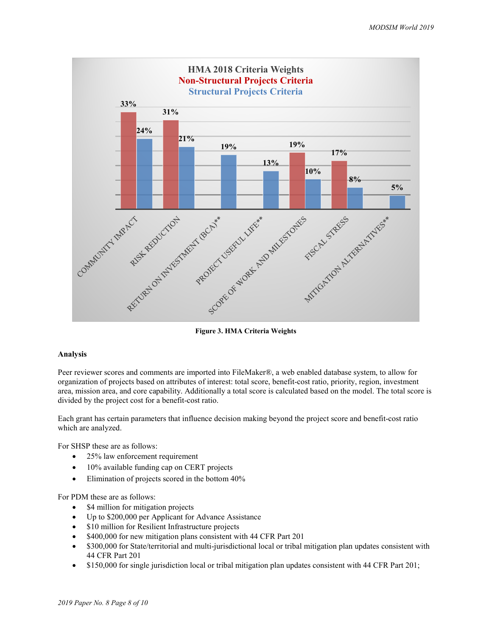

**Figure 3. HMA Criteria Weights**

#### <span id="page-7-0"></span>**Analysis**

Peer reviewer scores and comments are imported into FileMaker®, a web enabled database system, to allow for organization of projects based on attributes of interest: total score, benefit-cost ratio, priority, region, investment area, mission area, and core capability. Additionally a total score is calculated based on the model. The total score is divided by the project cost for a benefit-cost ratio.

Each grant has certain parameters that influence decision making beyond the project score and benefit-cost ratio which are analyzed.

For SHSP these are as follows:

- 25% law enforcement requirement
- 10% available funding cap on CERT projects
- Elimination of projects scored in the bottom  $40\%$

For PDM these are as follows:

- \$4 million for mitigation projects
- Up to \$200,000 per Applicant for Advance Assistance
- \$10 million for Resilient Infrastructure projects
- \$400,000 for new mitigation plans consistent with 44 CFR Part 201
- \$300,000 for State/territorial and multi-jurisdictional local or tribal mitigation plan updates consistent with 44 CFR Part 201
- \$150,000 for single jurisdiction local or tribal mitigation plan updates consistent with 44 CFR Part 201;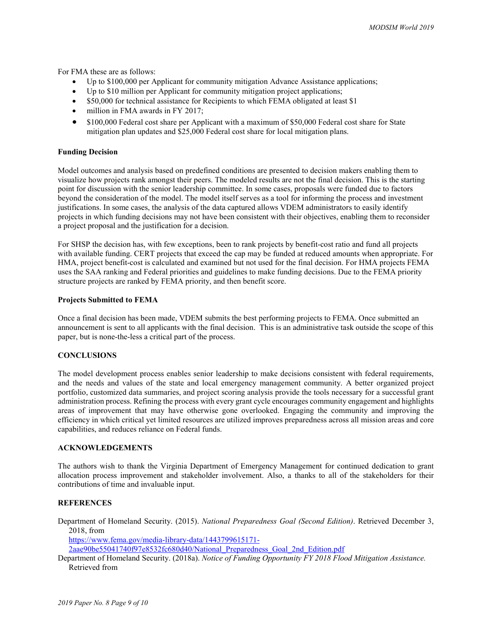For FMA these are as follows:

- Up to \$100,000 per Applicant for community mitigation Advance Assistance applications;
- Up to \$10 million per Applicant for community mitigation project applications;
- \$50,000 for technical assistance for Recipients to which FEMA obligated at least \$1
- million in FMA awards in FY 2017;
- \$100,000 Federal cost share per Applicant with a maximum of \$50,000 Federal cost share for State mitigation plan updates and \$25,000 Federal cost share for local mitigation plans.

#### **Funding Decision**

Model outcomes and analysis based on predefined conditions are presented to decision makers enabling them to visualize how projects rank amongst their peers. The modeled results are not the final decision. This is the starting point for discussion with the senior leadership committee. In some cases, proposals were funded due to factors beyond the consideration of the model. The model itself serves as a tool for informing the process and investment justifications. In some cases, the analysis of the data captured allows VDEM administrators to easily identify projects in which funding decisions may not have been consistent with their objectives, enabling them to reconsider a project proposal and the justification for a decision.

For SHSP the decision has, with few exceptions, been to rank projects by benefit-cost ratio and fund all projects with available funding. CERT projects that exceed the cap may be funded at reduced amounts when appropriate. For HMA, project benefit-cost is calculated and examined but not used for the final decision. For HMA projects FEMA uses the SAA ranking and Federal priorities and guidelines to make funding decisions. Due to the FEMA priority structure projects are ranked by FEMA priority, and then benefit score.

#### **Projects Submitted to FEMA**

Once a final decision has been made, VDEM submits the best performing projects to FEMA. Once submitted an announcement is sent to all applicants with the final decision. This is an administrative task outside the scope of this paper, but is none-the-less a critical part of the process.

#### **CONCLUSIONS**

The model development process enables senior leadership to make decisions consistent with federal requirements, and the needs and values of the state and local emergency management community. A better organized project portfolio, customized data summaries, and project scoring analysis provide the tools necessary for a successful grant administration process. Refining the process with every grant cycle encourages community engagement and highlights areas of improvement that may have otherwise gone overlooked. Engaging the community and improving the efficiency in which critical yet limited resources are utilized improves preparedness across all mission areas and core capabilities, and reduces reliance on Federal funds.

#### **ACKNOWLEDGEMENTS**

The authors wish to thank the Virginia Department of Emergency Management for continued dedication to grant allocation process improvement and stakeholder involvement. Also, a thanks to all of the stakeholders for their contributions of time and invaluable input.

## **REFERENCES**

Department of Homeland Security. (2015). *National Preparedness Goal (Second Edition)*. Retrieved December 3, 2018, from

[https://www.fema.gov/media-library-data/1443799615171-](https://www.fema.gov/media-library-data/1443799615171-2aae90be55041740f97e8532fc680d40/National_Preparedness_Goal_2nd_Edition.pdf)

[2aae90be55041740f97e8532fc680d40/National\\_Preparedness\\_Goal\\_2nd\\_Edition.pdf](https://www.fema.gov/media-library-data/1443799615171-2aae90be55041740f97e8532fc680d40/National_Preparedness_Goal_2nd_Edition.pdf)

Department of Homeland Security. (2018a). *Notice of Funding Opportunity FY 2018 Flood Mitigation Assistance.*  Retrieved from